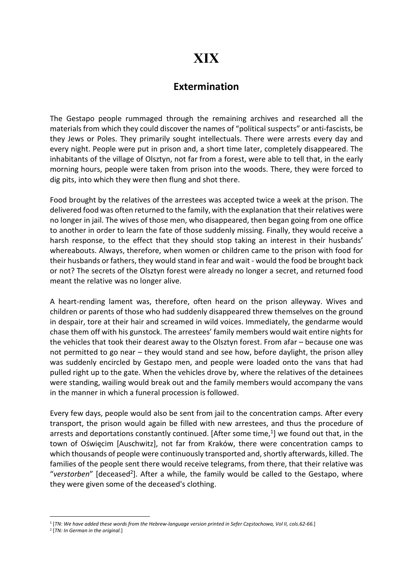## XIX

## Extermination

The Gestapo people rummaged through the remaining archives and researched all the materials from which they could discover the names of "political suspects" or anti-fascists, be they Jews or Poles. They primarily sought intellectuals. There were arrests every day and every night. People were put in prison and, a short time later, completely disappeared. The inhabitants of the village of Olsztyn, not far from a forest, were able to tell that, in the early morning hours, people were taken from prison into the woods. There, they were forced to dig pits, into which they were then flung and shot there.

Food brought by the relatives of the arrestees was accepted twice a week at the prison. The delivered food was often returned to the family, with the explanation that their relatives were no longer in jail. The wives of those men, who disappeared, then began going from one office to another in order to learn the fate of those suddenly missing. Finally, they would receive a harsh response, to the effect that they should stop taking an interest in their husbands' whereabouts. Always, therefore, when women or children came to the prison with food for their husbands or fathers, they would stand in fear and wait - would the food be brought back or not? The secrets of the Olsztyn forest were already no longer a secret, and returned food meant the relative was no longer alive.

A heart-rending lament was, therefore, often heard on the prison alleyway. Wives and children or parents of those who had suddenly disappeared threw themselves on the ground in despair, tore at their hair and screamed in wild voices. Immediately, the gendarme would chase them off with his gunstock. The arrestees' family members would wait entire nights for the vehicles that took their dearest away to the Olsztyn forest. From afar – because one was not permitted to go near – they would stand and see how, before daylight, the prison alley was suddenly encircled by Gestapo men, and people were loaded onto the vans that had pulled right up to the gate. When the vehicles drove by, where the relatives of the detainees were standing, wailing would break out and the family members would accompany the vans in the manner in which a funeral procession is followed.

Every few days, people would also be sent from jail to the concentration camps. After every transport, the prison would again be filled with new arrestees, and thus the procedure of arrests and deportations constantly continued. [After some time,<sup>1</sup>] we found out that, in the town of Oświęcim [Auschwitz], not far from Kraków, there were concentration camps to which thousands of people were continuously transported and, shortly afterwards, killed. The families of the people sent there would receive telegrams, from there, that their relative was "verstorben" [deceased<sup>2</sup>]. After a while, the family would be called to the Gestapo, where they were given some of the deceased's clothing.

<sup>1</sup> [TN: We have added these words from the Hebrew-language version printed in Sefer Częstochowa, Vol II, cols.62-66.]

<sup>&</sup>lt;sup>2</sup> [TN: In German in the original.]